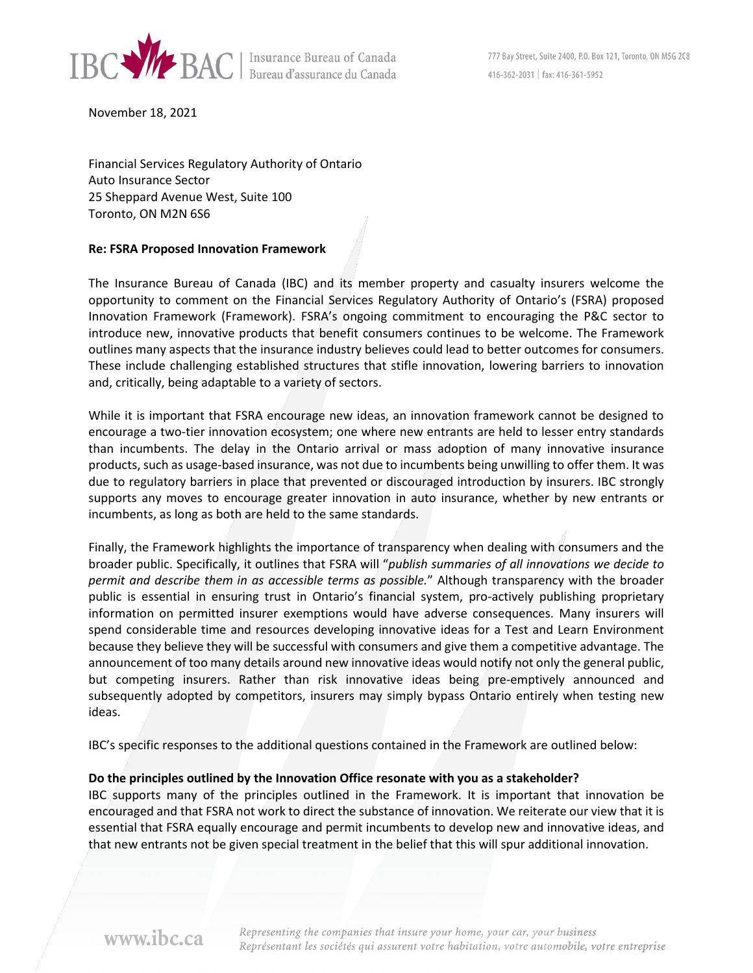

November 18, 2021

Financial Services Regulatory Authority of Ontario Auto Insurance Sector 25 Sheppard Avenue West, Suite 100 Toronto, ON M2N 6S6

#### **Re: FSRA Proposed Innovation Framework**

The Insurance Bureau of Canada (IBC) and its member property and casualty insurers welcome the opportunity to comment on the Financial Services Regulatory Authority of Ontario's (FSRA) proposed Innovation Framework (Framework). FSRA's ongoing commitment to encouraging the P&C sector to introduce new, innovative products that benefit consumers continues to be welcome. The Framework outlines many aspects that the insurance industry believes could lead to better outcomes for consumers. These include challenging established structures that stifle innovation, lowering barriers to innovation and, critically, being adaptable to a variety of sectors.

While it is important that FSRA encourage new ideas, an innovation framework cannot be designed to encourage a two-tier innovation ecosystem; one where new entrants are held to lesser entry standards than incumbents. The delay in the Ontario arrival or mass adoption of many innovative insurance products, such as usage-based insurance, was not due to incumbents being unwilling to offer them. It was due to regulatory barriers in place that prevented or discouraged introduction by insurers. IBC strongly supports any moves to encourage greater innovation in auto insurance, whether by new entrants or incumbents, as long as both are held to the same standards.

Finally, the Framework highlights the importance of transparency when dealing with consumers and the broader public. Specifically, it outlines that FSRA will "*publish summaries of all innovations we decide to permit and describe them in as accessible terms as possible.*" Although transparency with the broader public is essential in ensuring trust in Ontario's financial system, pro-actively publishing proprietary information on permitted insurer exemptions would have adverse consequences. Many insurers will spend considerable time and resources developing innovative ideas for a Test and Learn Environment because they believe they will be successful with consumers and give them a competitive advantage. The announcement of too many details around new innovative ideas would notify not only the general public, but competing insurers. Rather than risk innovative ideas being pre-emptively announced and subsequently adopted by competitors, insurers may simply bypass Ontario entirely when testing new ideas.

IBC's specific responses to the additional questions contained in the Framework are outlined below:

#### **Do the principles outlined by the Innovation Office resonate with you as a stakeholder?**

IBC supports many of the principles outlined in the Framework. It is important that innovation be encouraged and that FSRA not work to direct the substance of innovation. We reiterate our view that it is essential that FSRA equally encourage and permit incumbents to develop new and innovative ideas, and that new entrants not be given special treatment in the belief that this will spur additional innovation.

www.ibc.ca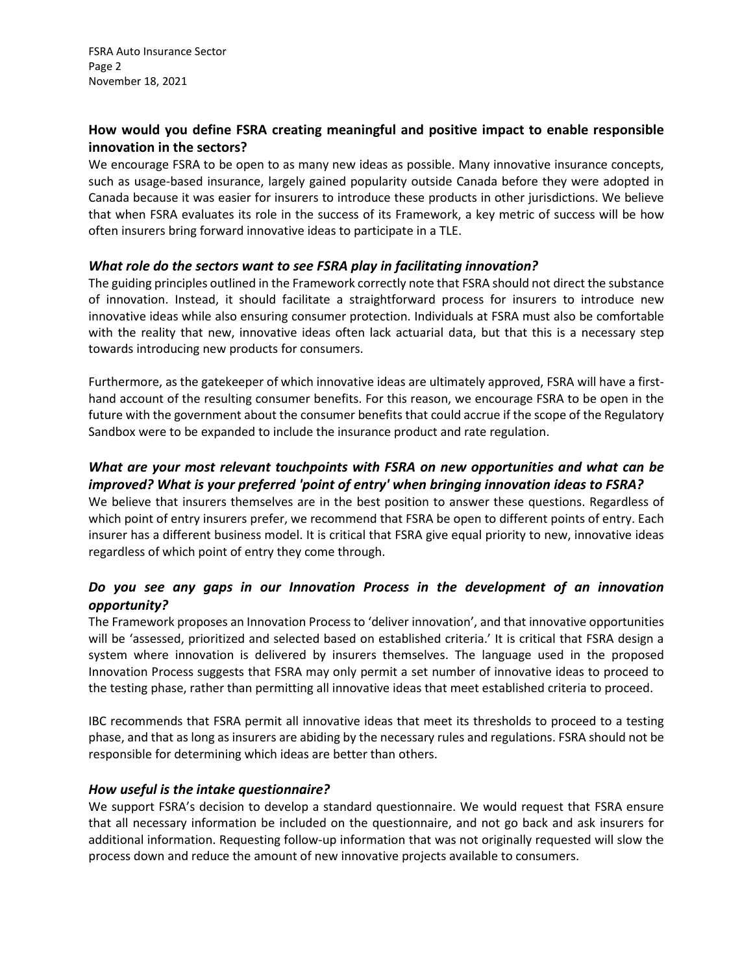## **How would you define FSRA creating meaningful and positive impact to enable responsible innovation in the sectors?**

We encourage FSRA to be open to as many new ideas as possible. Many innovative insurance concepts, such as usage-based insurance, largely gained popularity outside Canada before they were adopted in Canada because it was easier for insurers to introduce these products in other jurisdictions. We believe that when FSRA evaluates its role in the success of its Framework, a key metric of success will be how often insurers bring forward innovative ideas to participate in a TLE.

### *What role do the sectors want to see FSRA play in facilitating innovation?*

The guiding principles outlined in the Framework correctly note that FSRA should not direct the substance of innovation. Instead, it should facilitate a straightforward process for insurers to introduce new innovative ideas while also ensuring consumer protection. Individuals at FSRA must also be comfortable with the reality that new, innovative ideas often lack actuarial data, but that this is a necessary step towards introducing new products for consumers.

Furthermore, as the gatekeeper of which innovative ideas are ultimately approved, FSRA will have a firsthand account of the resulting consumer benefits. For this reason, we encourage FSRA to be open in the future with the government about the consumer benefits that could accrue if the scope of the Regulatory Sandbox were to be expanded to include the insurance product and rate regulation.

## *What are your most relevant touchpoints with FSRA on new opportunities and what can be improved? What is your preferred 'point of entry' when bringing innovation ideas to FSRA?*

We believe that insurers themselves are in the best position to answer these questions. Regardless of which point of entry insurers prefer, we recommend that FSRA be open to different points of entry. Each insurer has a different business model. It is critical that FSRA give equal priority to new, innovative ideas regardless of which point of entry they come through.

# *Do you see any gaps in our Innovation Process in the development of an innovation opportunity?*

The Framework proposes an Innovation Process to 'deliver innovation', and that innovative opportunities will be 'assessed, prioritized and selected based on established criteria.' It is critical that FSRA design a system where innovation is delivered by insurers themselves. The language used in the proposed Innovation Process suggests that FSRA may only permit a set number of innovative ideas to proceed to the testing phase, rather than permitting all innovative ideas that meet established criteria to proceed.

IBC recommends that FSRA permit all innovative ideas that meet its thresholds to proceed to a testing phase, and that as long as insurers are abiding by the necessary rules and regulations. FSRA should not be responsible for determining which ideas are better than others.

### *How useful is the intake questionnaire?*

We support FSRA's decision to develop a standard questionnaire. We would request that FSRA ensure that all necessary information be included on the questionnaire, and not go back and ask insurers for additional information. Requesting follow-up information that was not originally requested will slow the process down and reduce the amount of new innovative projects available to consumers.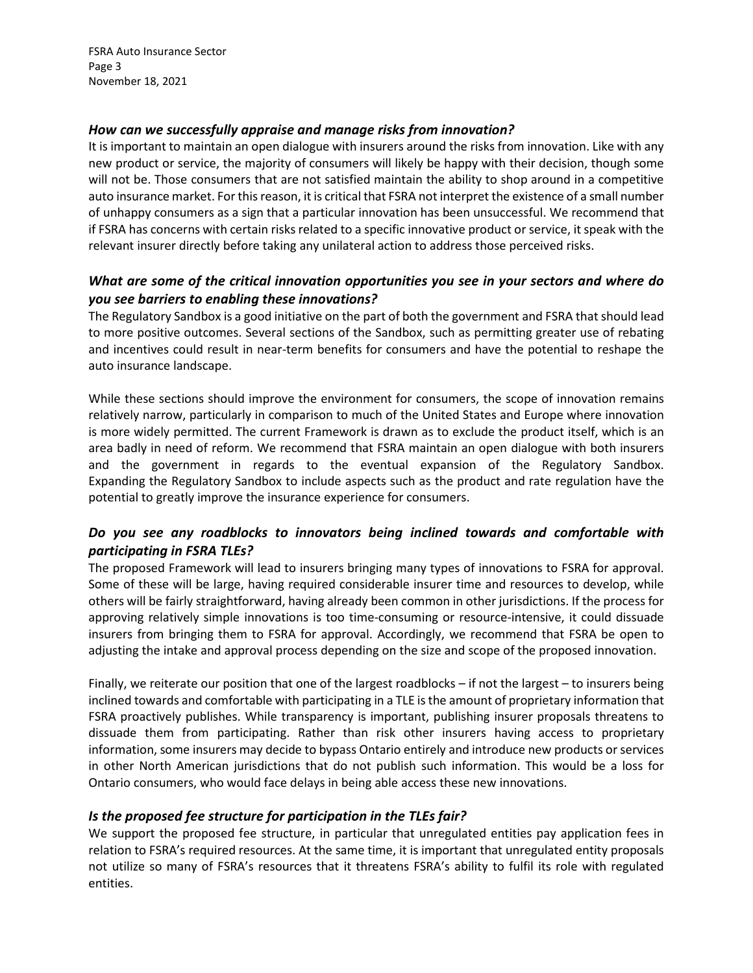FSRA Auto Insurance Sector Page 3 November 18, 2021

### *How can we successfully appraise and manage risks from innovation?*

It is important to maintain an open dialogue with insurers around the risks from innovation. Like with any new product or service, the majority of consumers will likely be happy with their decision, though some will not be. Those consumers that are not satisfied maintain the ability to shop around in a competitive auto insurance market. For this reason, it is critical that FSRA not interpret the existence of a small number of unhappy consumers as a sign that a particular innovation has been unsuccessful. We recommend that if FSRA has concerns with certain risks related to a specific innovative product or service, it speak with the relevant insurer directly before taking any unilateral action to address those perceived risks.

## *What are some of the critical innovation opportunities you see in your sectors and where do you see barriers to enabling these innovations?*

The Regulatory Sandbox is a good initiative on the part of both the government and FSRA that should lead to more positive outcomes. Several sections of the Sandbox, such as permitting greater use of rebating and incentives could result in near-term benefits for consumers and have the potential to reshape the auto insurance landscape.

While these sections should improve the environment for consumers, the scope of innovation remains relatively narrow, particularly in comparison to much of the United States and Europe where innovation is more widely permitted. The current Framework is drawn as to exclude the product itself, which is an area badly in need of reform. We recommend that FSRA maintain an open dialogue with both insurers and the government in regards to the eventual expansion of the Regulatory Sandbox. Expanding the Regulatory Sandbox to include aspects such as the product and rate regulation have the potential to greatly improve the insurance experience for consumers.

## *Do you see any roadblocks to innovators being inclined towards and comfortable with participating in FSRA TLEs?*

The proposed Framework will lead to insurers bringing many types of innovations to FSRA for approval. Some of these will be large, having required considerable insurer time and resources to develop, while others will be fairly straightforward, having already been common in other jurisdictions. If the process for approving relatively simple innovations is too time-consuming or resource-intensive, it could dissuade insurers from bringing them to FSRA for approval. Accordingly, we recommend that FSRA be open to adjusting the intake and approval process depending on the size and scope of the proposed innovation.

Finally, we reiterate our position that one of the largest roadblocks – if not the largest – to insurers being inclined towards and comfortable with participating in a TLE is the amount of proprietary information that FSRA proactively publishes. While transparency is important, publishing insurer proposals threatens to dissuade them from participating. Rather than risk other insurers having access to proprietary information, some insurers may decide to bypass Ontario entirely and introduce new products or services in other North American jurisdictions that do not publish such information. This would be a loss for Ontario consumers, who would face delays in being able access these new innovations.

### *Is the proposed fee structure for participation in the TLEs fair?*

We support the proposed fee structure, in particular that unregulated entities pay application fees in relation to FSRA's required resources. At the same time, it is important that unregulated entity proposals not utilize so many of FSRA's resources that it threatens FSRA's ability to fulfil its role with regulated entities.